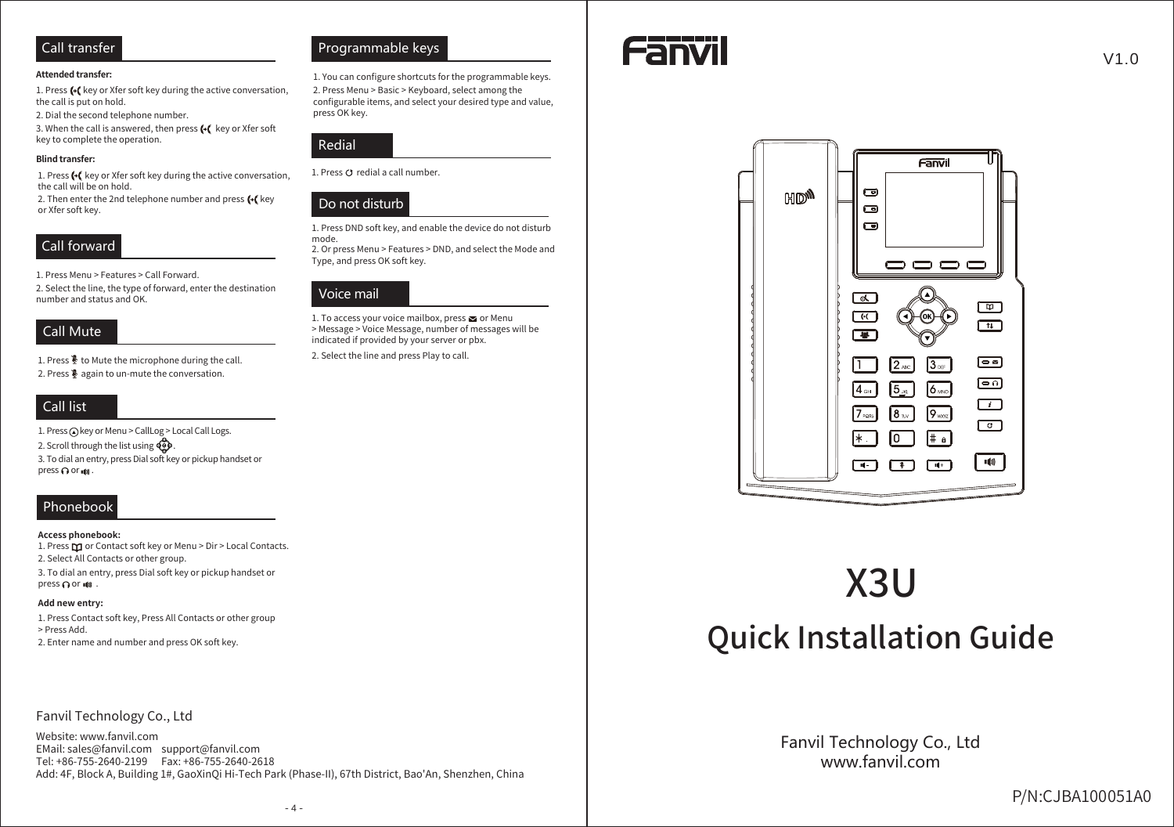#### **Attended transfer:**

1. Press (+ key or Xfer soft key during the active conversation, the call is put on hold.

2. Dial the second telephone number.

3. When the call is answered, then press (+( key or Xfer soft key to complete the operation.

#### **Blind transfer:**

1. Press (+( key or Xfer soft key during the active conversation, the call will be on hold.

2. Then enter the 2nd telephone number and press (+( key or Xfer soft key.

#### Call forward

1. Press Menu > Features > Call Forward.

2. Select the line, the type of forward, enter the destination number and status and OK.

#### **Call Mute**

1. Press  $\frac{3}{2}$  to Mute the microphone during the call. 2. Press  $\frac{3}{2}$  again to un-mute the conversation.

#### Call list

1. Press @key or Menu > CallLog > Local Call Logs.

2. Scroll through the list using

3. To dial an entry, press Dial soft key or pickup handset or press ∩ or it .

# Phonebook

#### Access phonebook:

1. Press  $\square$  or Contact soft key or Menu > Dir > Local Contacts. 2. Select All Contacts or other group.

3. To dial an entry, press Dial soft key or pickup handset or press nor  $\blacksquare$ 

#### Add new entry:

1. Press Contact soft key, Press All Contacts or other group > Press Add. 2. Enter name and number and press OK soft key.

#### Fanvil Technology Co., Ltd

Website: www.fanvil.com EMail: sales@fanvil.com support@fanvil.com Tel: +86-755-2640-2199 Fax: +86-755-2640-2618 Add: 4F, Block A, Building 1#, GaoXinQi Hi-Tech Park (Phase-II), 67th District, Bao'An, Shenzhen, China

#### Programmable keys

1. You can configure shortcuts for the programmable keys.

2. Press Menu > Basic > Keyboard, select among the configurable items, and select your desired type and value, press OK key.



1. Press O redial a call number.



1. Press DND soft key, and enable the device do not disturb mode. 2. Or press Menu > Features > DND, and select the Mode and Type, and press OK soft key.

# Voice mail

1. To access your voice mailbox, press so or Menu > Message > Voice Message, number of messages will be indicated if provided by your server or pbx.

2. Select the line and press Play to call.





# X3U

# **Quick Installation Guide**

Fanvil Technology Co., Ltd www fanvil com

 $V1.0$